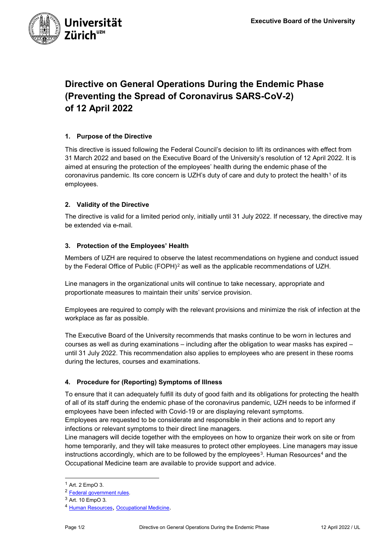

# **Directive on General Operations During the Endemic Phase (Preventing the Spread of Coronavirus SARS-CoV-2) of 12 April 2022**

## **1. Purpose of the Directive**

This directive is issued following the Federal Council's decision to lift its ordinances with effect from 31 March 2022 and based on the Executive Board of the University's resolution of 12 April 2022. It is aimed at ensuring the protection of the employees' health during the endemic phase of the coronavirus pandemic. Its core concern is UZH's duty of care and duty to protect the health<sup>[1](#page-0-0)</sup> of its employees.

### **2. Validity of the Directive**

The directive is valid for a limited period only, initially until 31 July 2022. If necessary, the directive may be extended via e-mail.

### **3. Protection of the Employees' Health**

Members of UZH are required to observe the latest recommendations on hygiene and conduct issued by the Federal Office of Public  $(FOPH)^2$  $(FOPH)^2$  as well as the applicable recommendations of UZH.

Line managers in the organizational units will continue to take necessary, appropriate and proportionate measures to maintain their units' service provision.

Employees are required to comply with the relevant provisions and minimize the risk of infection at the workplace as far as possible.

The Executive Board of the University recommends that masks continue to be worn in lectures and courses as well as during examinations – including after the obligation to wear masks has expired – until 31 July 2022. This recommendation also applies to employees who are present in these rooms during the lectures, courses and examinations.

# **4. Procedure for (Reporting) Symptoms of Illness**

To ensure that it can adequately fulfill its duty of good faith and its obligations for protecting the health of all of its staff during the endemic phase of the coronavirus pandemic, UZH needs to be informed if employees have been infected with Covid-19 or are displaying relevant symptoms.

Employees are requested to be considerate and responsible in their actions and to report any infections or relevant symptoms to their direct line managers.

Line managers will decide together with the employees on how to organize their work on site or from home temporarily, and they will take measures to protect other employees. Line managers may issue instructions accordingly, which are to be followed by the employees<sup>[3](#page-0-2)</sup>. Human Resources<sup>[4](#page-0-3)</sup> and the Occupational Medicine team are available to provide support and advice.

<span id="page-0-0"></span> $<sup>1</sup>$  Art. 2 EmpO 3.</sup>

<span id="page-0-1"></span><sup>2</sup> Federal government rules.

<sup>3</sup> Art. 10 EmpO 3.

<span id="page-0-3"></span><span id="page-0-2"></span><sup>4</sup> [Human Resources,](https://www.uzh.ch/cmsssl/pa/de/about/contact-all/contact-persons/personalberatung.html) [Occupational Medicine.](https://www.staff.uzh.ch/de/sicherheit-gesundheit/sicherheit-am-arbeitsplatz/arbeitsmedizin.html)